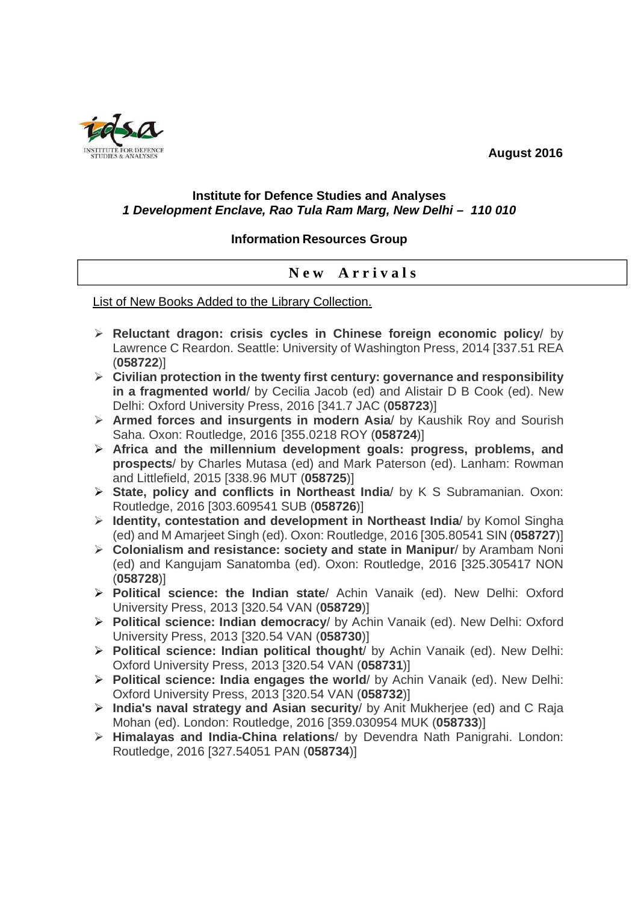**August 2016** 



## **Institute for Defence Studies and Analyses 1 Development Enclave, Rao Tula Ram Marg, New Delhi – 110 010**

## **Information Resources Group**

## **N e w A r r i v a l s**

List of New Books Added to the Library Collection.

- **Reluctant dragon: crisis cycles in Chinese foreign economic policy**/ by Lawrence C Reardon. Seattle: University of Washington Press, 2014 [337.51 REA (**058722**)]
- **Civilian protection in the twenty first century: governance and responsibility in a fragmented world**/ by Cecilia Jacob (ed) and Alistair D B Cook (ed). New Delhi: Oxford University Press, 2016 [341.7 JAC (**058723**)]
- **Armed forces and insurgents in modern Asia**/ by Kaushik Roy and Sourish Saha. Oxon: Routledge, 2016 [355.0218 ROY (**058724**)]
- **Africa and the millennium development goals: progress, problems, and prospects**/ by Charles Mutasa (ed) and Mark Paterson (ed). Lanham: Rowman and Littlefield, 2015 [338.96 MUT (**058725**)]
- **State, policy and conflicts in Northeast India**/ by K S Subramanian. Oxon: Routledge, 2016 [303.609541 SUB (**058726**)]
- **Identity, contestation and development in Northeast India**/ by Komol Singha (ed) and M Amarjeet Singh (ed). Oxon: Routledge, 2016 [305.80541 SIN (**058727**)]
- **Colonialism and resistance: society and state in Manipur**/ by Arambam Noni (ed) and Kangujam Sanatomba (ed). Oxon: Routledge, 2016 [325.305417 NON (**058728**)]
- **Political science: the Indian state**/ Achin Vanaik (ed). New Delhi: Oxford University Press, 2013 [320.54 VAN (**058729**)]
- **Political science: Indian democracy**/ by Achin Vanaik (ed). New Delhi: Oxford University Press, 2013 [320.54 VAN (**058730**)]
- **Political science: Indian political thought**/ by Achin Vanaik (ed). New Delhi: Oxford University Press, 2013 [320.54 VAN (**058731**)]
- **Political science: India engages the world**/ by Achin Vanaik (ed). New Delhi: Oxford University Press, 2013 [320.54 VAN (**058732**)]
- **India's naval strategy and Asian security**/ by Anit Mukherjee (ed) and C Raja Mohan (ed). London: Routledge, 2016 [359.030954 MUK (**058733**)]
- **Himalayas and India-China relations**/ by Devendra Nath Panigrahi. London: Routledge, 2016 [327.54051 PAN (**058734**)]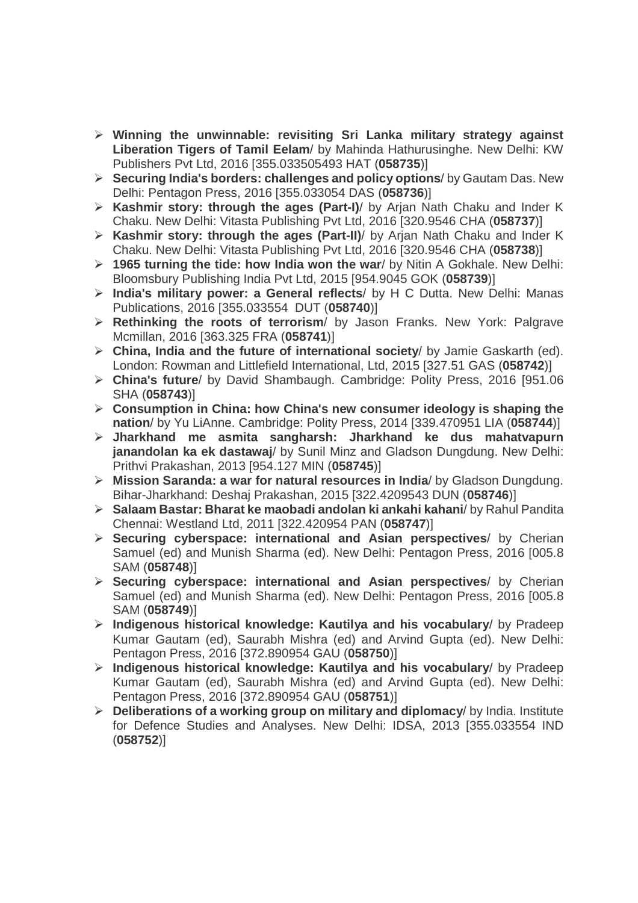- **Winning the unwinnable: revisiting Sri Lanka military strategy against Liberation Tigers of Tamil Eelam**/ by Mahinda Hathurusinghe. New Delhi: KW Publishers Pvt Ltd, 2016 [355.033505493 HAT (**058735**)]
- **Securing India's borders: challenges and policy options**/ by Gautam Das. New Delhi: Pentagon Press, 2016 [355.033054 DAS (**058736**)]
- **Kashmir story: through the ages (Part-I)**/ by Arjan Nath Chaku and Inder K Chaku. New Delhi: Vitasta Publishing Pvt Ltd, 2016 [320.9546 CHA (**058737**)]
- **Kashmir story: through the ages (Part-II)**/ by Arjan Nath Chaku and Inder K Chaku. New Delhi: Vitasta Publishing Pvt Ltd, 2016 [320.9546 CHA (**058738**)]
- **1965 turning the tide: how India won the war**/ by Nitin A Gokhale. New Delhi: Bloomsbury Publishing India Pvt Ltd, 2015 [954.9045 GOK (**058739**)]
- **India's military power: a General reflects**/ by H C Dutta. New Delhi: Manas Publications, 2016 [355.033554 DUT (**058740**)]
- **Rethinking the roots of terrorism**/ by Jason Franks. New York: Palgrave Mcmillan, 2016 [363.325 FRA (**058741**)]
- **China, India and the future of international society**/ by Jamie Gaskarth (ed). London: Rowman and Littlefield International, Ltd, 2015 [327.51 GAS (**058742**)]
- **China's future**/ by David Shambaugh. Cambridge: Polity Press, 2016 [951.06 SHA (**058743**)]
- **Consumption in China: how China's new consumer ideology is shaping the nation**/ by Yu LiAnne. Cambridge: Polity Press, 2014 [339.470951 LIA (**058744**)]
- **Jharkhand me asmita sangharsh: Jharkhand ke dus mahatvapurn janandolan ka ek dastawaj**/ by Sunil Minz and Gladson Dungdung. New Delhi: Prithvi Prakashan, 2013 [954.127 MIN (**058745**)]
- **Mission Saranda: a war for natural resources in India**/ by Gladson Dungdung. Bihar-Jharkhand: Deshaj Prakashan, 2015 [322.4209543 DUN (**058746**)]
- **Salaam Bastar: Bharat ke maobadi andolan ki ankahi kahani**/ by Rahul Pandita Chennai: Westland Ltd, 2011 [322.420954 PAN (**058747**)]
- **Securing cyberspace: international and Asian perspectives**/ by Cherian Samuel (ed) and Munish Sharma (ed). New Delhi: Pentagon Press, 2016 [005.8 SAM (**058748**)]
- **Securing cyberspace: international and Asian perspectives**/ by Cherian Samuel (ed) and Munish Sharma (ed). New Delhi: Pentagon Press, 2016 [005.8 SAM (**058749**)]
- **Indigenous historical knowledge: Kautilya and his vocabulary**/ by Pradeep Kumar Gautam (ed), Saurabh Mishra (ed) and Arvind Gupta (ed). New Delhi: Pentagon Press, 2016 [372.890954 GAU (**058750**)]
- **Indigenous historical knowledge: Kautilya and his vocabulary**/ by Pradeep Kumar Gautam (ed), Saurabh Mishra (ed) and Arvind Gupta (ed). New Delhi: Pentagon Press, 2016 [372.890954 GAU (**058751**)]
- **Deliberations of a working group on military and diplomacy**/ by India. Institute for Defence Studies and Analyses. New Delhi: IDSA, 2013 [355.033554 IND (**058752**)]